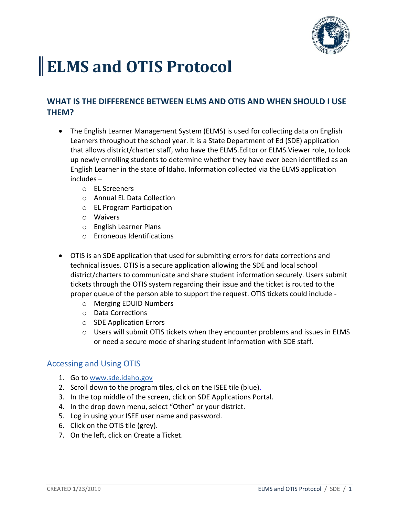

## **ELMS and OTIS Protocol**

## **WHAT IS THE DIFFERENCE BETWEEN ELMS AND OTIS AND WHEN SHOULD I USE THEM?**

- The English Learner Management System (ELMS) is used for collecting data on English Learners throughout the school year. It is a State Department of Ed (SDE) application that allows district/charter staff, who have the ELMS.Editor or ELMS.Viewer role, to look up newly enrolling students to determine whether they have ever been identified as an English Learner in the state of Idaho. Information collected via the ELMS application includes –
	- o EL Screeners
	- o Annual EL Data Collection
	- o EL Program Participation
	- o Waivers
	- o English Learner Plans
	- o Erroneous Identifications
- OTIS is an SDE application that used for submitting errors for data corrections and technical issues. OTIS is a secure application allowing the SDE and local school district/charters to communicate and share student information securely. Users submit tickets through the OTIS system regarding their issue and the ticket is routed to the proper queue of the person able to support the request. OTIS tickets could include
	- o Merging EDUID Numbers
	- o Data Corrections
	- o SDE Application Errors
	- $\circ$  Users will submit OTIS tickets when they encounter problems and issues in ELMS or need a secure mode of sharing student information with SDE staff.

## Accessing and Using OTIS

- 1. Go t[o www.sde.idaho.gov](http://www.sde.idaho.gov/)
- 2. Scroll down to the program tiles, click on the ISEE tile (blue).
- 3. In the top middle of the screen, click on SDE Applications Portal.
- 4. In the drop down menu, select "Other" or your district.
- 5. Log in using your ISEE user name and password.
- 6. Click on the OTIS tile (grey).
- 7. On the left, click on Create a Ticket.